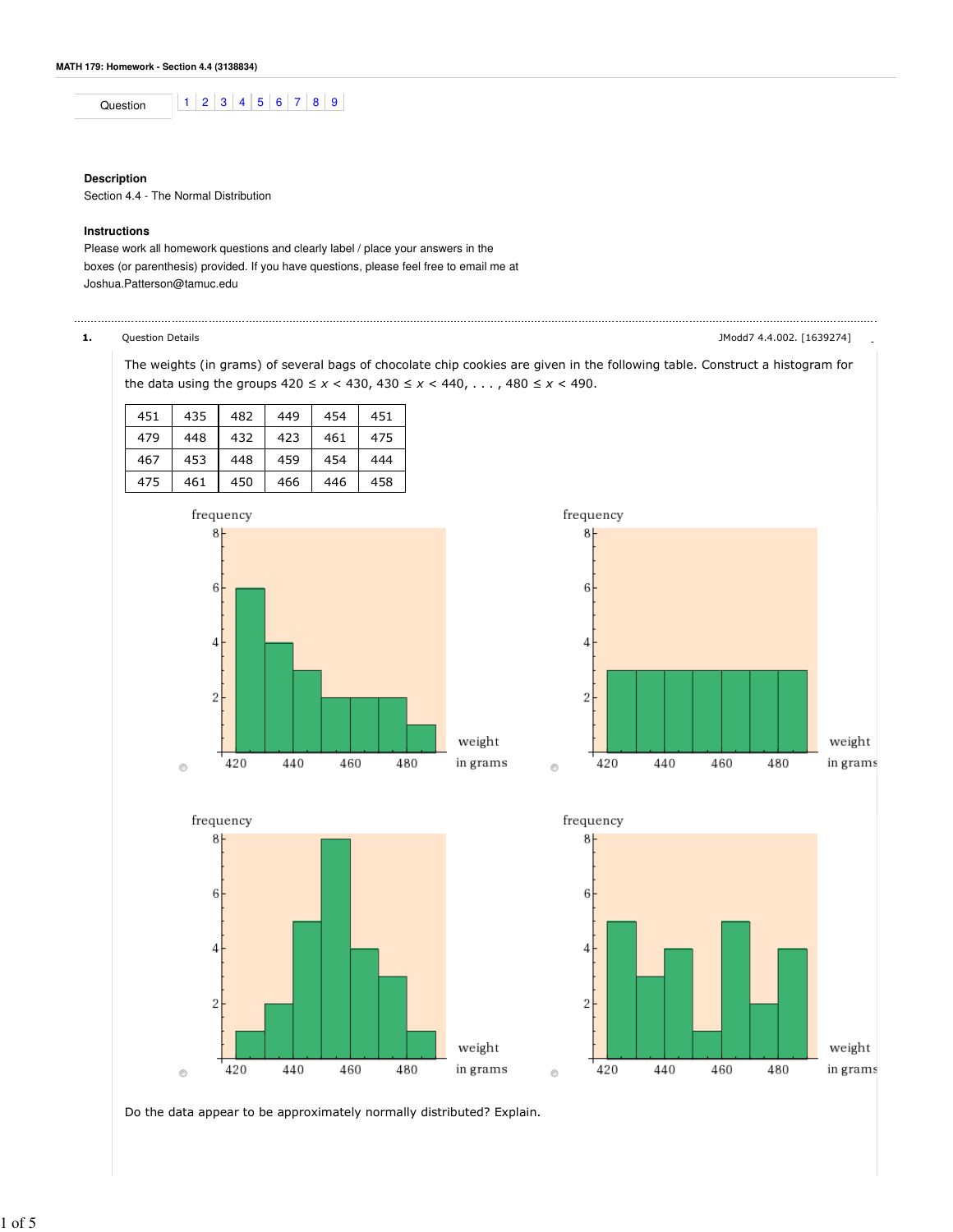Question 1 2 3 4 5 6 7 8 9

## **Description**

Section 4.4 - The Normal Distribution

### **Instructions**

Please work all homework questions and clearly label / place your answers in the boxes (or parenthesis) provided. If you have questions, please feel free to email me at Joshua.Patterson@tamuc.edu

1. Question Details - JModd7 4.4.002. [1639274]

The weights (in grams) of several bags of chocolate chip cookies are given in the following table. Construct a histogram for the data using the groups  $420 \le x < 430$ ,  $430 \le x < 440$ , . . . ,  $480 \le x < 490$ .

| 451 | 435 | 482 | 449 | 454 | 451 |
|-----|-----|-----|-----|-----|-----|
| 479 | 448 | 432 | 423 | 461 | 475 |
| 467 | 453 | 448 | 459 | 454 | 444 |
| 475 | 461 | 450 | 466 | 446 | 458 |









Do the data appear to be approximately normally distributed? Explain.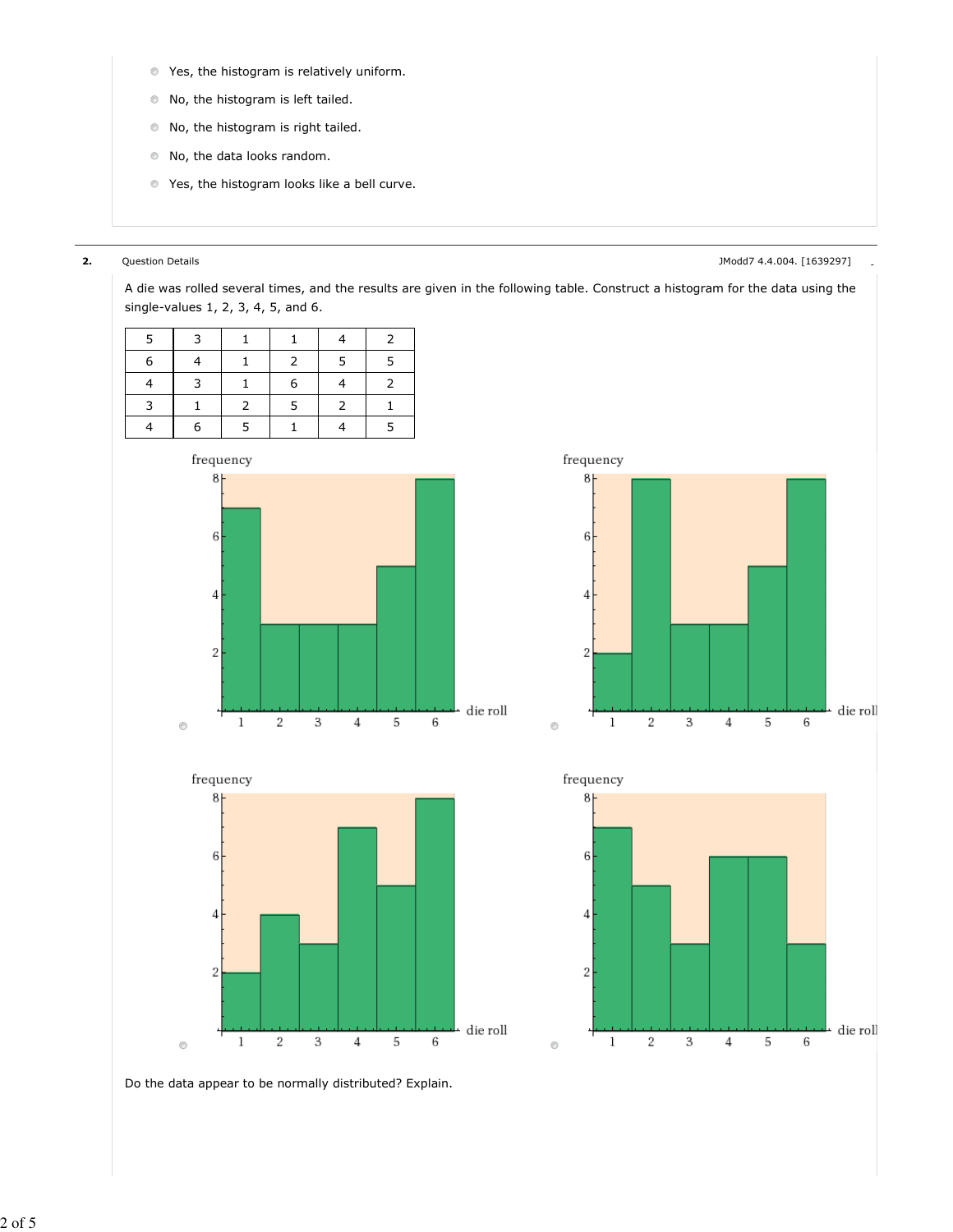- Yes, the histogram is relatively uniform.
- No, the histogram is left tailed.
- No, the histogram is right tailed.
- No, the data looks random.
- **O** Yes, the histogram looks like a bell curve.

2. Question Details - JModd7 4.4.004. [1639297]

A die was rolled several times, and the results are given in the following table. Construct a histogram for the data using the single-values 1, 2, 3, 4, 5, and 6.

| 5 | 3 |               |    |               | 2 |
|---|---|---------------|----|---------------|---|
| 6 |   |               | 2  | .5            | 5 |
|   | 3 |               | 6  |               |   |
| 3 |   | $\mathcal{P}$ | -5 | $\mathcal{P}$ |   |
|   |   | 5             |    |               | 5 |











Do the data appear to be normally distributed? Explain.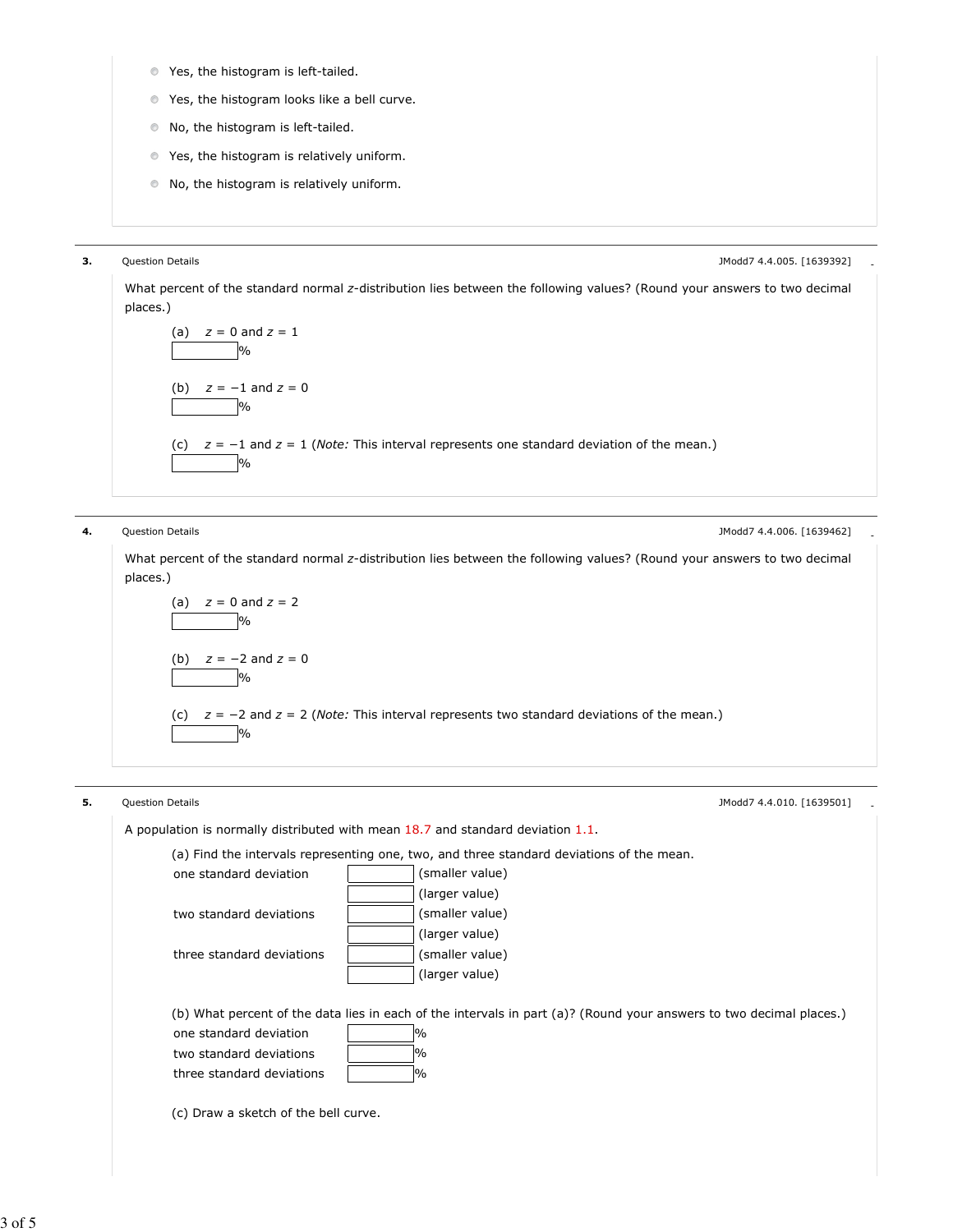- **Yes, the histogram is left-tailed.**
- Yes, the histogram looks like a bell curve.
- $\bullet$  No, the histogram is left-tailed.
- Yes, the histogram is relatively uniform.
- No, the histogram is relatively uniform.

**3.** Question Details **- Alternative Controller** - Controller - Mathematic Controller - Modd7 4.4.005. [1639392]

What percent of the standard normal z-distribution lies between the following values? (Round your answers to two decimal places.)

\n- (a) 
$$
z = 0
$$
 and  $z = 1$
\n- (b)  $z = -1$  and  $z = 0$
\n- (c)  $z = -1$  and  $z = 1$  (Note: This interval represents one standard deviation of the mean.)
\n- (d)  $y_0$
\n

**4.** Question Details **- All and Struck and Struck and Struck and Struck and Struck and Struck and Struck and Struck and Struck and Struck and Struck and Struck and Struck and Struck and Struck and Struck and Struck and St** 

What percent of the standard normal z-distribution lies between the following values? (Round your answers to two decimal places.)

\n- (a) 
$$
z = 0
$$
 and  $z = 2$
\n- (b)  $z = -2$  and  $z = 0$
\n- (c)  $z = -2$  and  $z = 2$  (Note: This interval represents two standard deviations of the mean.)
\n- (d)  $z = -2$  and  $z = 2$  (Note: This interval represents two standard deviations of the mean.)
\n

5. Question Details - JModd7 4.4.010. [1639501] A population is normally distributed with mean 18.7 and standard deviation 1.1. (a) Find the intervals representing one, two, and three standard deviations of the mean. one standard deviation (smaller value) (larger value) two standard deviations (smaller value) (larger value) three standard deviations  $\vert$  (smaller value) (larger value) (b) What percent of the data lies in each of the intervals in part (a)? (Round your answers to two decimal places.) one standard deviation  $\sim$  1% two standard deviations | % three standard deviations  $\sqrt{ }$  % (c) Draw a sketch of the bell curve.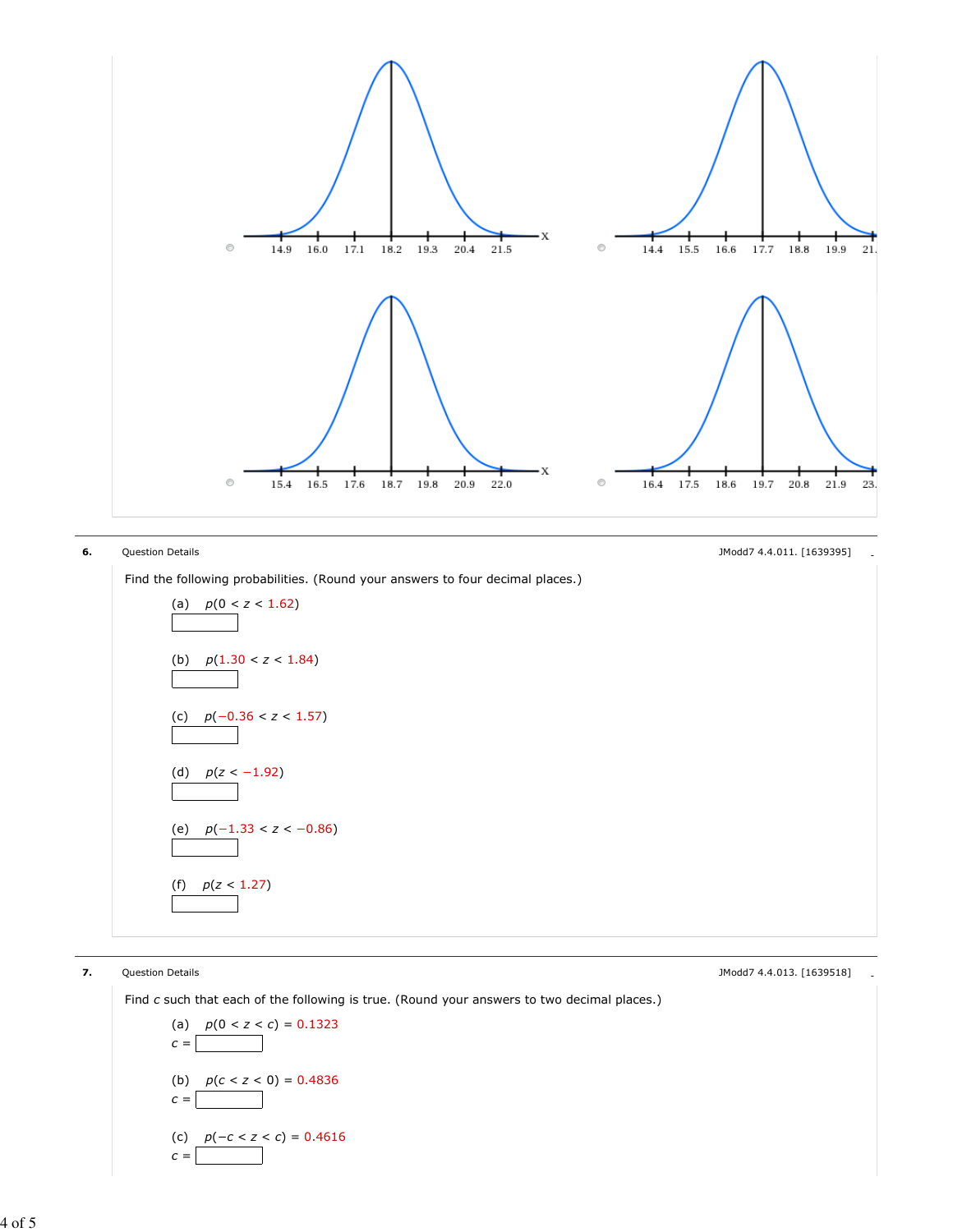

**6.** Question Details **- Account 2006 Contract Contract Contract Contract Contract Contract Contract Contract Contract Contract Contract Contract Contract Contract Contract Contract Contract Contract Contract Contract Co** 

Find the following probabilities. (Round your answers to four decimal places.)

(a) 
$$
p(0 < z < 1.62)
$$
  
\n(b)  $p(1.30 < z < 1.84)$   
\n(c)  $p(-0.36 < z < 1.57)$   
\n(d)  $p(z < -1.92)$   
\n(e)  $p(-1.33 < z < -0.86)$   
\n(f)  $p(z < 1.27)$ 

**7.** Question Details **Alternative Controller** Controller Controller Controller Controller Controller Controller Controller Controller Controller Controller Controller Controller Controller Controller Controller Controller

Find c such that each of the following is true. (Round your answers to two decimal places.)

(a) 
$$
p(0 < z < c) = 0.1323
$$
  
\n $c =$  0.1323  
\n(b)  $p(c < z < 0) = 0.4836$   
\n $c =$  0.4836  
\n(c)  $p(-c < z < c) = 0.4616$   
\n $c =$  0.4616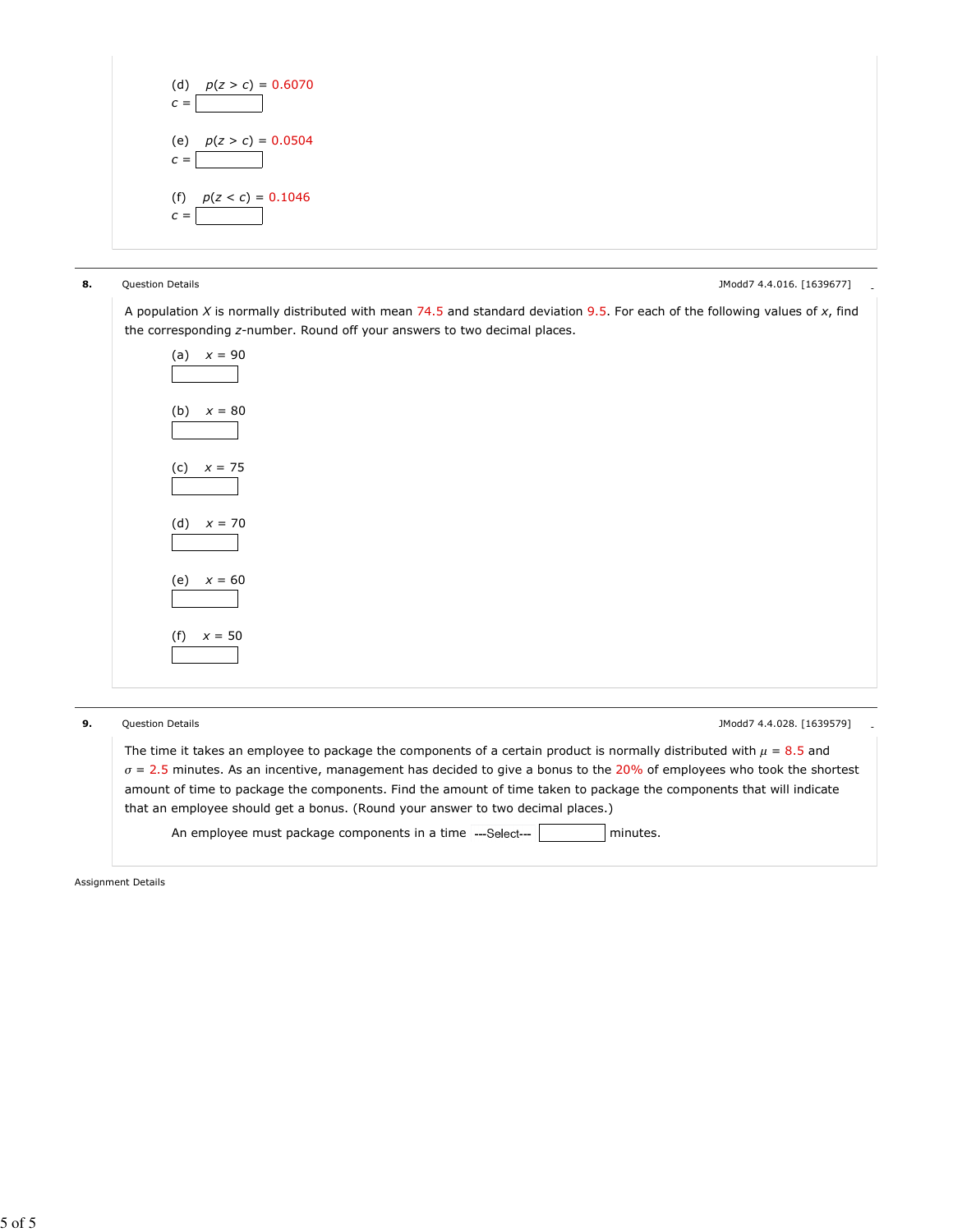

**8.** Question Details **Alternative Control** Control of the Security of the Security of the Security of the Security of the Security of the Security of the Security of the Security of the Security of the Security of the Sec

A population X is normally distributed with mean 74.5 and standard deviation 9.5. For each of the following values of  $x$ , find the corresponding z-number. Round off your answers to two decimal places.



**9.** Question Details **Alternative Concernsive Concernsive Concernsive Concernsive Concernsive Concernsive Concernsive Concernsive Concernsive Concernsive Concernsive Concernsive Concernsive Concernsive Concernsive Concern** 

The time it takes an employee to package the components of a certain product is normally distributed with  $\mu = 8.5$  and  $\sigma$  = 2.5 minutes. As an incentive, management has decided to give a bonus to the 20% of employees who took the shortest amount of time to package the components. Find the amount of time taken to package the components that will indicate that an employee should get a bonus. (Round your answer to two decimal places.)

An employee must package components in a time  $\left| \cdot \right|$  =-Select---  $\left| \cdot \right|$  minutes.

Assignment Details